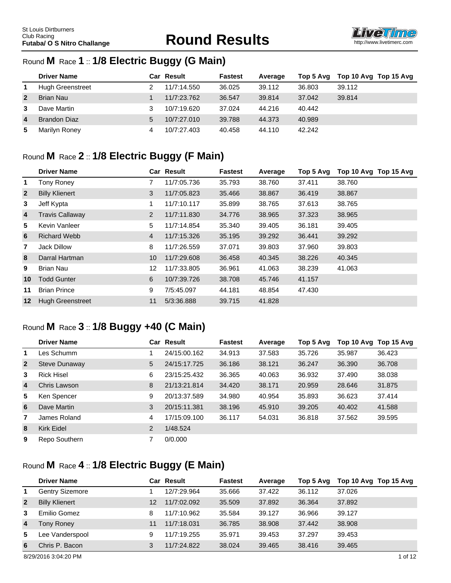

#### Round **M** Race **1** :: **1/8 Electric Buggy (G Main)**

|                | <b>Driver Name</b>      |   | Car Result  | <b>Fastest</b> | Average | Top 5 Avg | Top 10 Avg Top 15 Avg |
|----------------|-------------------------|---|-------------|----------------|---------|-----------|-----------------------|
| 1              | <b>Hugh Greenstreet</b> |   | 11/7:14.550 | 36.025         | 39.112  | 36,803    | 39.112                |
| $\overline{2}$ | <b>Brian Nau</b>        |   | 11/7:23.762 | 36.547         | 39.814  | 37.042    | 39.814                |
| 3              | Dave Martin             |   | 10/7:19.620 | 37.024         | 44.216  | 40.442    |                       |
| $\overline{4}$ | <b>Brandon Diaz</b>     | 5 | 10/7:27.010 | 39.788         | 44.373  | 40.989    |                       |
| 5              | Marilyn Roney           |   | 10/7:27.403 | 40.458         | 44.110  | 42.242    |                       |

# Round **M** Race **2** :: **1/8 Electric Buggy (F Main)**

|                | <b>Driver Name</b>      |                | <b>Car Result</b> | <b>Fastest</b> | Average | Top 5 Avg | Top 10 Avg Top 15 Avg |
|----------------|-------------------------|----------------|-------------------|----------------|---------|-----------|-----------------------|
| $\mathbf 1$    | <b>Tony Roney</b>       | 7              | 11/7:05.736       | 35.793         | 38.760  | 37.411    | 38.760                |
| $\overline{2}$ | <b>Billy Klienert</b>   | 3              | 11/7:05.823       | 35.466         | 38.867  | 36.419    | 38.867                |
| 3              | Jeff Kypta              | 1              | 11/7:10.117       | 35.899         | 38.765  | 37.613    | 38.765                |
| 4              | <b>Travis Callaway</b>  | $\overline{2}$ | 11/7:11.830       | 34.776         | 38.965  | 37.323    | 38.965                |
| 5              | Kevin Vanleer           | 5              | 11/7:14.854       | 35.340         | 39.405  | 36.181    | 39.405                |
| 6              | <b>Richard Webb</b>     | $\overline{4}$ | 11/7:15.326       | 35.195         | 39.292  | 36.441    | 39.292                |
| $\overline{7}$ | Jack Dillow             | 8              | 11/7:26.559       | 37.071         | 39.803  | 37.960    | 39,803                |
| 8              | Darral Hartman          | 10             | 11/7:29.608       | 36.458         | 40.345  | 38.226    | 40.345                |
| 9              | <b>Brian Nau</b>        | 12             | 11/7:33.805       | 36.961         | 41.063  | 38.239    | 41.063                |
| 10             | <b>Todd Gunter</b>      | 6              | 10/7:39.726       | 38,708         | 45.746  | 41.157    |                       |
| 11             | <b>Brian Prince</b>     | 9              | 7/5:45.097        | 44.181         | 48.854  | 47.430    |                       |
| $12 \,$        | <b>Hugh Greenstreet</b> | 11             | 5/3:36.888        | 39.715         | 41.828  |           |                       |

#### Round **M** Race **3** :: **1/8 Buggy +40 (C Main)**

|                | <b>Driver Name</b>   |                | <b>Car Result</b> | <b>Fastest</b> | Average | Top 5 Avg | Top 10 Avg Top 15 Avg |        |
|----------------|----------------------|----------------|-------------------|----------------|---------|-----------|-----------------------|--------|
| $\mathbf 1$    | Les Schumm           |                | 24/15:00.162      | 34.913         | 37.583  | 35.726    | 35.987                | 36.423 |
| $\overline{2}$ | <b>Steve Dunaway</b> | 5              | 24/15:17.725      | 36.186         | 38.121  | 36.247    | 36,390                | 36.708 |
| 3              | <b>Rick Hisel</b>    | 6              | 23/15:25.432      | 36.365         | 40.063  | 36.932    | 37.490                | 38.038 |
| $\overline{4}$ | Chris Lawson         | 8              | 21/13:21.814      | 34.420         | 38.171  | 20.959    | 28.646                | 31.875 |
| 5              | Ken Spencer          | 9              | 20/13:37.589      | 34.980         | 40.954  | 35.893    | 36.623                | 37.414 |
| 6              | Dave Martin          | 3              | 20/15:11.381      | 38.196         | 45.910  | 39.205    | 40.402                | 41.588 |
| 7              | James Roland         | 4              | 17/15:09.100      | 36.117         | 54.031  | 36.818    | 37.562                | 39.595 |
| 8              | Kirk Eidel           | $\overline{2}$ | 1/48.524          |                |         |           |                       |        |
| 9              | Repo Southern        | 7              | 0/0.000           |                |         |           |                       |        |

### Round **M** Race **4** :: **1/8 Electric Buggy (E Main)**

|                | <b>Driver Name</b>     |    | Car Result  | <b>Fastest</b> | Average | Top 5 Avg | Top 10 Avg Top 15 Avg |         |
|----------------|------------------------|----|-------------|----------------|---------|-----------|-----------------------|---------|
| 1              | <b>Gentry Sizemore</b> |    | 12/7:29.964 | 35.666         | 37.422  | 36.112    | 37.026                |         |
| $\overline{2}$ | <b>Billy Klienert</b>  | 12 | 11/7:02.092 | 35,509         | 37,892  | 36.364    | 37.892                |         |
| 3              | Emilio Gomez           | 8  | 11/7:10.962 | 35.584         | 39.127  | 36.966    | 39.127                |         |
| $\overline{4}$ | Tony Roney             | 11 | 11/7:18.031 | 36.785         | 38.908  | 37.442    | 38,908                |         |
| 5              | Lee Vanderspool        | 9  | 11/7:19.255 | 35.971         | 39.453  | 37.297    | 39.453                |         |
| 6              | Chris P. Bacon         | 3  | 11/7:24.822 | 38.024         | 39.465  | 38.416    | 39.465                |         |
|                | 8/29/2016 3:04:20 PM   |    |             |                |         |           |                       | 1 of 12 |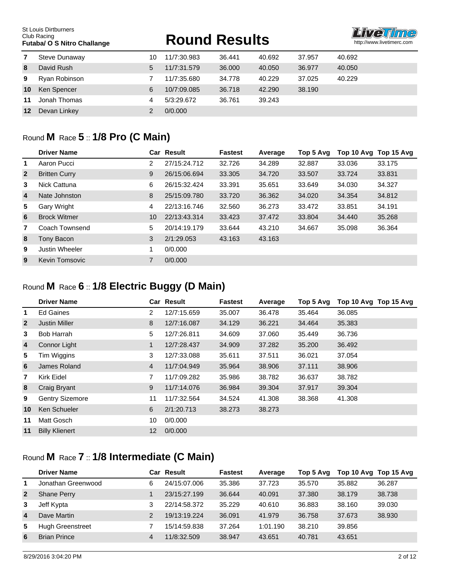# **FUTABALLANGE ROUND RESULTS**



| 7  | Steve Dunaway | 10 | 11/7:30.983 | 36.441 | 40.692 | 37.957 | 40.692 |
|----|---------------|----|-------------|--------|--------|--------|--------|
| 8  | David Rush    | 5  | 11/7:31.579 | 36,000 | 40.050 | 36.977 | 40.050 |
| 9  | Ryan Robinson |    | 11/7:35.680 | 34.778 | 40.229 | 37.025 | 40.229 |
| 10 | Ken Spencer   | 6  | 10/7:09.085 | 36.718 | 42.290 | 38.190 |        |
| 11 | Jonah Thomas  | 4  | 5/3:29.672  | 36.761 | 39.243 |        |        |
| 12 | Devan Linkey  |    | 0/0.000     |        |        |        |        |

### Round **M** Race **5** :: **1/8 Pro (C Main)**

|                | <b>Driver Name</b>   |                | <b>Car Result</b> | <b>Fastest</b> | Average | Top 5 Avg |        | Top 10 Avg Top 15 Avg |
|----------------|----------------------|----------------|-------------------|----------------|---------|-----------|--------|-----------------------|
| 1              | Aaron Pucci          | 2              | 27/15:24.712      | 32.726         | 34.289  | 32.887    | 33.036 | 33.175                |
| $\overline{2}$ | <b>Britten Curry</b> | 9              | 26/15:06.694      | 33,305         | 34.720  | 33.507    | 33.724 | 33.831                |
| 3              | Nick Cattuna         | 6              | 26/15:32.424      | 33.391         | 35.651  | 33.649    | 34.030 | 34.327                |
| $\overline{4}$ | Nate Johnston        | 8              | 25/15:09.780      | 33.720         | 36.362  | 34.020    | 34.354 | 34.812                |
| 5              | Gary Wright          | 4              | 22/13:16.746      | 32.560         | 36.273  | 33.472    | 33.851 | 34.191                |
| 6              | <b>Brock Witmer</b>  | 10             | 22/13:43.314      | 33.423         | 37.472  | 33.804    | 34.440 | 35.268                |
| 7              | Coach Townsend       | 5              | 20/14:19.179      | 33.644         | 43.210  | 34.667    | 35.098 | 36.364                |
| 8              | Tony Bacon           | 3              | 2/1:29.053        | 43.163         | 43.163  |           |        |                       |
| 9              | Justin Wheeler       |                | 0/0.000           |                |         |           |        |                       |
| 9              | Kevin Tomsovic       | $\overline{7}$ | 0/0.000           |                |         |           |        |                       |

#### Round **M** Race **6** :: **1/8 Electric Buggy (D Main)**

|                | <b>Driver Name</b>     |                   | <b>Car Result</b> | <b>Fastest</b> | Average | Top 5 Avg | Top 10 Avg Top 15 Avg |
|----------------|------------------------|-------------------|-------------------|----------------|---------|-----------|-----------------------|
| 1              | Ed Gaines              | 2                 | 12/7:15.659       | 35.007         | 36.478  | 35.464    | 36.085                |
| $\overline{2}$ | <b>Justin Miller</b>   | 8                 | 12/7:16.087       | 34.129         | 36.221  | 34.464    | 35.383                |
| 3              | <b>Bob Harrah</b>      | 5                 | 12/7:26.811       | 34.609         | 37.060  | 35.449    | 36.736                |
| $\overline{4}$ | Connor Light           | 1                 | 12/7:28.437       | 34.909         | 37.282  | 35,200    | 36.492                |
| 5              | Tim Wiggins            | 3                 | 12/7:33.088       | 35.611         | 37.511  | 36.021    | 37.054                |
| 6              | James Roland           | $\overline{4}$    | 11/7:04.949       | 35.964         | 38.906  | 37.111    | 38.906                |
| $\overline{7}$ | Kirk Eidel             | 7                 | 11/7:09.282       | 35.986         | 38.782  | 36.637    | 38.782                |
| 8              | Craig Bryant           | 9                 | 11/7:14.076       | 36.984         | 39,304  | 37.917    | 39.304                |
| 9              | <b>Gentry Sizemore</b> | 11                | 11/7:32.564       | 34.524         | 41.308  | 38.368    | 41.308                |
| 10             | Ken Schueler           | 6                 | 2/1:20.713        | 38.273         | 38.273  |           |                       |
| 11             | Matt Gosch             | 10                | 0/0.000           |                |         |           |                       |
| 11             | <b>Billy Klienert</b>  | $12 \overline{ }$ | 0/0.000           |                |         |           |                       |

# Round **M** Race **7** :: **1/8 Intermediate (C Main)**

|                | <b>Driver Name</b>      |   | Car Result   | <b>Fastest</b> | Average  | Top 5 Avg | Top 10 Avg Top 15 Avg |        |
|----------------|-------------------------|---|--------------|----------------|----------|-----------|-----------------------|--------|
| 1              | Jonathan Greenwood      | 6 | 24/15:07.006 | 35.386         | 37.723   | 35.570    | 35.882                | 36.287 |
| $\overline{2}$ | <b>Shane Perry</b>      |   | 23/15:27.199 | 36.644         | 40.091   | 37.380    | 38.179                | 38.738 |
| 3              | Jeff Kypta              | 3 | 22/14:58.372 | 35.229         | 40.610   | 36.883    | 38.160                | 39,030 |
| 4              | Dave Martin             | 2 | 19/13:19.224 | 36.091         | 41.979   | 36.758    | 37.673                | 38,930 |
| 5              | <b>Hugh Greenstreet</b> |   | 15/14:59.838 | 37.264         | 1:01.190 | 38.210    | 39.856                |        |
| 6              | <b>Brian Prince</b>     | 4 | 11/8:32.509  | 38.947         | 43.651   | 40.781    | 43.651                |        |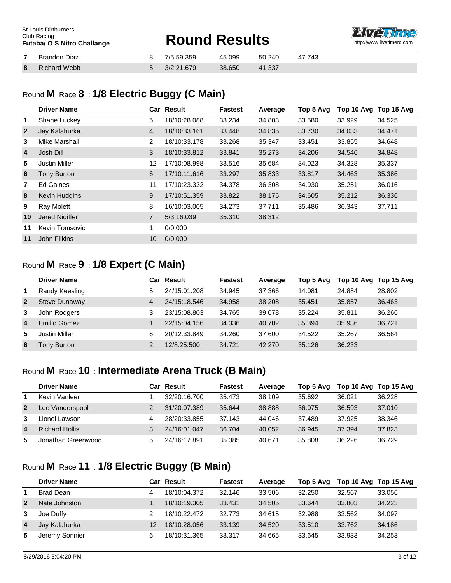| St Louis Dirtburners<br>Club Racing<br><b>Futaba/ O S Nitro Challange</b> |                     | <b>Round Results</b> |            |        | <b>Live Time</b><br>http://www.livetimerc.com |        |  |
|---------------------------------------------------------------------------|---------------------|----------------------|------------|--------|-----------------------------------------------|--------|--|
|                                                                           | <b>Brandon Diaz</b> |                      | 7/5:59.359 | 45.099 | 50.240                                        | 47.743 |  |
| 8                                                                         | Richard Webb        |                      | 3/2:21.679 | 38.650 | 41.337                                        |        |  |

# Round **M** Race **8** :: **1/8 Electric Buggy (C Main)**

|                | <b>Driver Name</b>    |                | <b>Car Result</b> | <b>Fastest</b> | Average | Top 5 Avg | Top 10 Avg Top 15 Avg |        |
|----------------|-----------------------|----------------|-------------------|----------------|---------|-----------|-----------------------|--------|
| 1              | Shane Luckey          | 5              | 18/10:28.088      | 33.234         | 34.803  | 33.580    | 33.929                | 34.525 |
| $\overline{2}$ | Jay Kalahurka         | $\overline{4}$ | 18/10:33.161      | 33.448         | 34.835  | 33.730    | 34.033                | 34.471 |
| 3              | Mike Marshall         | $\overline{2}$ | 18/10:33.178      | 33.268         | 35.347  | 33.451    | 33.855                | 34.648 |
| $\overline{4}$ | Josh Dill             | 3              | 18/10:33.812      | 33.841         | 35.273  | 34.206    | 34.546                | 34.848 |
| 5              | <b>Justin Miller</b>  | 12             | 17/10:08.998      | 33.516         | 35.684  | 34.023    | 34.328                | 35.337 |
| 6              | Tony Burton           | 6              | 17/10:11.616      | 33.297         | 35.833  | 33.817    | 34.463                | 35,386 |
| $\mathbf{7}$   | <b>Ed Gaines</b>      | 11             | 17/10:23.332      | 34.378         | 36.308  | 34.930    | 35.251                | 36.016 |
| 8              | Kevin Hudgins         | 9              | 17/10:51.359      | 33,822         | 38.176  | 34.605    | 35.212                | 36.336 |
| 9              | <b>Ray Molett</b>     | 8              | 16/10:03.005      | 34.273         | 37.711  | 35.486    | 36.343                | 37.711 |
| 10             | <b>Jared Nidiffer</b> | $\overline{7}$ | 5/3:16.039        | 35,310         | 38.312  |           |                       |        |
| 11             | Kevin Tomsovic        | 1              | 0/0.000           |                |         |           |                       |        |
| 11             | <b>John Filkins</b>   | 10             | 0/0.000           |                |         |           |                       |        |
|                |                       |                |                   |                |         |           |                       |        |

#### Round **M** Race **9** :: **1/8 Expert (C Main)**

|                  | <b>Driver Name</b> |                | Car Result   | <b>Fastest</b> | Average | Top 5 Ava | Top 10 Avg Top 15 Avg |        |
|------------------|--------------------|----------------|--------------|----------------|---------|-----------|-----------------------|--------|
| $\mathbf 1$      | Randy Keesling     | 5              | 24/15:01.208 | 34.945         | 37.366  | 14.081    | 24.884                | 28,802 |
| $\overline{2}$   | Steve Dunaway      | 4              | 24/15:18.546 | 34.958         | 38.208  | 35.451    | 35.857                | 36.463 |
| 3                | John Rodgers       | 3              | 23/15:08.803 | 34.765         | 39.078  | 35.224    | 35.811                | 36.266 |
| $\boldsymbol{4}$ | Emilio Gomez       |                | 22/15:04.156 | 34.336         | 40.702  | 35.394    | 35.936                | 36.721 |
| 5                | Justin Miller      | 6              | 20/12:33.849 | 34.260         | 37.600  | 34.522    | 35.267                | 36.564 |
| 6                | Tony Burton        | $\mathfrak{p}$ | 12/8:25.500  | 34.721         | 42.270  | 35.126    | 36.233                |        |

# Round **M** Race **10** :: **Intermediate Arena Truck (B Main)**

|                | <b>Driver Name</b>    |   | Car Result   | <b>Fastest</b> | Average | Top 5 Avg | Top 10 Avg Top 15 Avg |        |
|----------------|-----------------------|---|--------------|----------------|---------|-----------|-----------------------|--------|
| 1              | Kevin Vanleer         |   | 32/20:16.700 | 35.473         | 38.109  | 35.692    | 36.021                | 36.228 |
| $\overline{2}$ | Lee Vanderspool       |   | 31/20:07.389 | 35.644         | 38.888  | 36.075    | 36.593                | 37.010 |
| 3              | Lionel Lawson         | 4 | 28/20:33.855 | 37.143         | 44.046  | 37.489    | 37.925                | 38.346 |
| 4              | <b>Richard Hollis</b> |   | 24/16:01.047 | 36.704         | 40.052  | 36.945    | 37.394                | 37,823 |
| 5              | Jonathan Greenwood    | 5 | 24/16:17.891 | 35.385         | 40.671  | 35.808    | 36.226                | 36.729 |

#### Round **M** Race **11** :: **1/8 Electric Buggy (B Main)**

|                | <b>Driver Name</b> |   | Car Result   | <b>Fastest</b> | Average | Top 5 Avg |        | Top 10 Avg Top 15 Avg |
|----------------|--------------------|---|--------------|----------------|---------|-----------|--------|-----------------------|
| 1              | <b>Brad Dean</b>   |   | 18/10:04.372 | 32.146         | 33.506  | 32,250    | 32.567 | 33.056                |
| $\overline{2}$ | Nate Johnston      |   | 18/10:19.305 | 33.431         | 34.505  | 33.644    | 33,803 | 34.223                |
| 3              | Joe Duffy          |   | 18/10:22.472 | 32.773         | 34.615  | 32.988    | 33.562 | 34.097                |
| $\overline{4}$ | Jay Kalahurka      |   | 18/10:28.056 | 33.139         | 34.520  | 33.510    | 33.762 | 34.186                |
| 5              | Jeremy Sonnier     | 6 | 18/10:31.365 | 33.317         | 34.665  | 33.645    | 33.933 | 34.253                |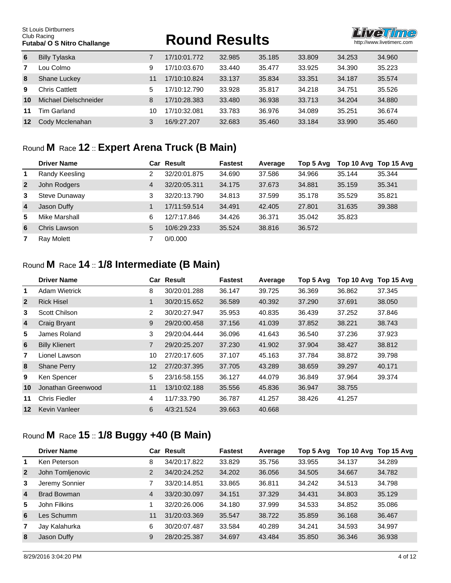# **FUTE ROUND RESULTS**



| 6       | <b>Billy Tylaska</b>  |    | 17/10:01.772 | 32.985 | 35.185 | 33.809 | 34.253 | 34.960 |
|---------|-----------------------|----|--------------|--------|--------|--------|--------|--------|
| 7       | ∟ou Colmo             | 9  | 17/10:03.670 | 33.440 | 35.477 | 33.925 | 34.390 | 35.223 |
| 8       | Shane Luckey          | 11 | 17/10:10.824 | 33.137 | 35.834 | 33.351 | 34.187 | 35.574 |
| 9       | Chris Cattlett        | 5  | 17/10:12.790 | 33.928 | 35.817 | 34.218 | 34.751 | 35.526 |
| 10      | Michael Dielschneider | 8  | 17/10:28.383 | 33.480 | 36.938 | 33.713 | 34.204 | 34,880 |
| 11      | Tim Garland           | 10 | 17/10:32.081 | 33.783 | 36.976 | 34.089 | 35.251 | 36.674 |
| $12 \,$ | Cody Mcclenahan       | 3  | 16/9:27.207  | 32.683 | 35.460 | 33.184 | 33.990 | 35.460 |

# Round **M** Race **12** :: **Expert Arena Truck (B Main)**

|                         | <b>Driver Name</b> |   | Car Result   | <b>Fastest</b> | Average | Top 5 Ava | Top 10 Avg Top 15 Avg |        |
|-------------------------|--------------------|---|--------------|----------------|---------|-----------|-----------------------|--------|
| -1                      | Randy Keesling     | 2 | 32/20:01.875 | 34.690         | 37.586  | 34.966    | 35.144                | 35.344 |
| $\overline{2}$          | John Rodgers       | 4 | 32/20:05.311 | 34.175         | 37.673  | 34.881    | 35.159                | 35.341 |
| 3                       | Steve Dunaway      | 3 | 32/20:13.790 | 34.813         | 37.599  | 35.178    | 35.529                | 35.821 |
| $\overline{\mathbf{4}}$ | Jason Duffy        |   | 17/11:59.514 | 34.491         | 42.405  | 27.801    | 31.635                | 39.388 |
| 5                       | Mike Marshall      | 6 | 12/7:17.846  | 34.426         | 36.371  | 35.042    | 35.823                |        |
| 6                       | Chris Lawson       | 5 | 10/6:29.233  | 35.524         | 38.816  | 36.572    |                       |        |
| 7                       | Ray Molett         |   | 0/0.000      |                |         |           |                       |        |

#### Round **M** Race **14** :: **1/8 Intermediate (B Main)**

|                | <b>Driver Name</b>    |                | <b>Car Result</b> | <b>Fastest</b> | Average | Top 5 Avg | Top 10 Avg | Top 15 Avg |
|----------------|-----------------------|----------------|-------------------|----------------|---------|-----------|------------|------------|
| 1              | <b>Adam Wietrick</b>  | 8              | 30/20:01.288      | 36.147         | 39.725  | 36.369    | 36.862     | 37.345     |
| $\overline{2}$ | <b>Rick Hisel</b>     | 1              | 30/20:15.652      | 36.589         | 40.392  | 37.290    | 37.691     | 38.050     |
| 3              | Scott Chilson         | $\overline{2}$ | 30/20:27.947      | 35.953         | 40.835  | 36.439    | 37.252     | 37.846     |
| $\overline{4}$ | Craig Bryant          | 9              | 29/20:00.458      | 37.156         | 41.039  | 37.852    | 38.221     | 38.743     |
| 5              | James Roland          | 3              | 29/20:04.444      | 36.096         | 41.643  | 36.540    | 37.236     | 37.923     |
| $6\phantom{1}$ | <b>Billy Klienert</b> | 7              | 29/20:25.207      | 37,230         | 41.902  | 37.904    | 38.427     | 38.812     |
| 7              | Lionel Lawson         | 10             | 27/20:17.605      | 37.107         | 45.163  | 37.784    | 38,872     | 39.798     |
| 8              | <b>Shane Perry</b>    | 12             | 27/20:37.395      | 37.705         | 43.289  | 38.659    | 39.297     | 40.171     |
| 9              | Ken Spencer           | 5              | 23/16:58.155      | 36.127         | 44.079  | 36.849    | 37.964     | 39.374     |
| 10             | Jonathan Greenwood    | 11             | 13/10:02.188      | 35.556         | 45.836  | 36.947    | 38.755     |            |
| 11             | <b>Chris Fiedler</b>  | 4              | 11/7:33.790       | 36.787         | 41.257  | 38.426    | 41.257     |            |
| 12             | Kevin Vanleer         | 6              | 4/3:21.524        | 39.663         | 40.668  |           |            |            |

# Round **M** Race **15** :: **1/8 Buggy +40 (B Main)**

| Ken Peterson<br>35.756<br>33.829<br>33.955<br>34.137<br>34.289<br>8<br>34/20:17.822<br>$\mathbf 1$        | Top 10 Avg Top 15 Avg |
|-----------------------------------------------------------------------------------------------------------|-----------------------|
|                                                                                                           |                       |
| John Tomljenovic<br>2<br>$\overline{2}$<br>34/20:24.252<br>36.056<br>34.202<br>34.505<br>34.782<br>34.667 |                       |
| Jeremy Sonnier<br>33.865<br>36.811<br>34.242<br>34.798<br>33/20:14.851<br>34.513<br>3                     |                       |
| Brad Bowman<br>4<br>4<br>37.329<br>35.129<br>33/20:30.097<br>34.151<br>34.431<br>34.803                   |                       |
| 5<br>37.999<br>John Filkins<br>34.533<br>34.852<br>35.086<br>32/20:26.006<br>34.180<br>1                  |                       |
| 6<br>es Schumm<br>11<br>38.722<br>31/20:03.369<br>35.859<br>36.168<br>35.547<br>36.467                    |                       |
| 6<br>40.289<br>Jay Kalahurka<br>30/20:07.487<br>33.584<br>34.241<br>34.593<br>34.997<br>7                 |                       |
| Jason Duffy<br>9<br>8<br>28/20:25.387<br>34.697<br>43.484<br>35,850<br>36.346<br>36.938                   |                       |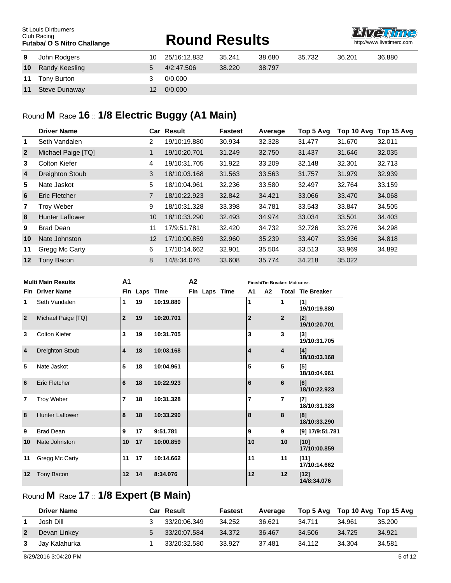|    | <b>St Louis Dirtburners</b><br>Club Racing<br><b>Futaba/ O S Nitro Challange</b> |    | <b>Round Results</b> |        | <b>Liveuime</b><br>http://www.livetimerc.com |        |        |        |
|----|----------------------------------------------------------------------------------|----|----------------------|--------|----------------------------------------------|--------|--------|--------|
| 9  | John Rodgers                                                                     | 10 | 25/16:12.832         | 35.241 | 38.680                                       | 35.732 | 36.201 | 36,880 |
| 10 | Randy Keesling                                                                   | 5  | 4/2:47.506           | 38.220 | 38.797                                       |        |        |        |
| 11 | Tony Burton                                                                      | 3  | 0/0.000              |        |                                              |        |        |        |
| 11 | Steve Dunaway                                                                    | 12 | 0/0.000              |        |                                              |        |        |        |

# Round **M** Race **16** :: **1/8 Electric Buggy (A1 Main)**

|                | <b>Driver Name</b>     |                | <b>Car Result</b> | <b>Fastest</b> | Average | Top 5 Avg | Top 10 Avg | Top 15 Avg |
|----------------|------------------------|----------------|-------------------|----------------|---------|-----------|------------|------------|
| 1.             | Seth Vandalen          | 2              | 19/10:19.880      | 30.934         | 32.328  | 31.477    | 31.670     | 32.011     |
| $\overline{2}$ | Michael Paige [TQ]     | 1              | 19/10:20.701      | 31.249         | 32,750  | 31.437    | 31.646     | 32.035     |
| 3              | Colton Kiefer          | 4              | 19/10:31.705      | 31.922         | 33.209  | 32.148    | 32.301     | 32.713     |
| $\overline{4}$ | <b>Dreighton Stoub</b> | 3              | 18/10:03.168      | 31.563         | 33.563  | 31.757    | 31.979     | 32.939     |
| 5              | Nate Jaskot            | 5              | 18/10:04.961      | 32.236         | 33.580  | 32.497    | 32.764     | 33.159     |
| 6              | Eric Fletcher          | $\overline{7}$ | 18/10:22.923      | 32.842         | 34.421  | 33.066    | 33,470     | 34.068     |
| $\overline{7}$ | <b>Troy Weber</b>      | 9              | 18/10:31.328      | 33.398         | 34.781  | 33.543    | 33.847     | 34.505     |
| 8              | <b>Hunter Laflower</b> | 10             | 18/10:33.290      | 32.493         | 34.974  | 33.034    | 33.501     | 34.403     |
| 9              | <b>Brad Dean</b>       | 11             | 17/9:51.781       | 32.420         | 34.732  | 32.726    | 33.276     | 34.298     |
| 10             | Nate Johnston          | 12             | 17/10:00.859      | 32.960         | 35.239  | 33.407    | 33.936     | 34.818     |
| 11             | Gregg Mc Carty         | 6              | 17/10:14.662      | 32.901         | 35.504  | 33.513    | 33.969     | 34.892     |
| $12 \,$        | Tony Bacon             | 8              | 14/8:34.076       | 33.608         | 35.774  | 34.218    | 35.022     |            |

|                | <b>Multi Main Results</b> | A <sub>1</sub><br>A <sub>2</sub> |               |           |  |               |  | Finish/Tie Breaker: Motocross |    |                |                          |
|----------------|---------------------------|----------------------------------|---------------|-----------|--|---------------|--|-------------------------------|----|----------------|--------------------------|
|                | <b>Fin</b> Driver Name    |                                  | Fin Laps Time |           |  | Fin Laps Time |  | A1                            | A2 |                | <b>Total Tie Breaker</b> |
| 1              | Seth Vandalen             | 1                                | 19            | 10:19.880 |  |               |  | 1                             |    | 1              | [1]<br>19/10:19.880      |
| $\overline{2}$ | Michael Paige [TQ]        | $\overline{2}$                   | 19            | 10:20.701 |  |               |  | $\overline{2}$                |    | $\overline{2}$ | [2]<br>19/10:20.701      |
| 3              | Colton Kiefer             | 3                                | 19            | 10:31.705 |  |               |  | 3                             |    | 3              | [3]<br>19/10:31.705      |
| 4              | <b>Dreighton Stoub</b>    | $\overline{\mathbf{4}}$          | 18            | 10:03.168 |  |               |  | 4                             |    | 4              | [4]<br>18/10:03.168      |
| 5              | Nate Jaskot               | 5                                | 18            | 10:04.961 |  |               |  | 5                             |    | 5              | [5]<br>18/10:04.961      |
| 6              | <b>Eric Fletcher</b>      | 6                                | 18            | 10:22.923 |  |               |  | 6                             |    | 6              | [6]<br>18/10:22.923      |
| 7              | <b>Troy Weber</b>         | $\overline{\phantom{a}}$         | 18            | 10:31.328 |  |               |  | 7                             |    | 7              | $[7]$<br>18/10:31.328    |
| 8              | <b>Hunter Laflower</b>    | 8                                | 18            | 10:33.290 |  |               |  | 8                             |    | 8              | [8]<br>18/10:33.290      |
| 9              | <b>Brad Dean</b>          | 9                                | 17            | 9:51.781  |  |               |  | 9                             |    | 9              | [9] 17/9:51.781          |
| 10             | Nate Johnston             | 10                               | 17            | 10:00.859 |  |               |  | 10                            |    | 10             | [10]<br>17/10:00.859     |
| 11             | Gregg Mc Carty            | 11                               | 17            | 10:14.662 |  |               |  | 11                            |    | 11             | [11]<br>17/10:14.662     |
| 12             | Tony Bacon                | 12                               | 14            | 8:34.076  |  |               |  | 12                            |    | 12             | $[12]$<br>14/8:34.076    |

# Round **M** Race **17** :: **1/8 Expert (B Main)**

|                | <b>Driver Name</b> | <b>Car Result</b> | Fastest | Average |        | Top 5 Avg Top 10 Avg Top 15 Avg |        |
|----------------|--------------------|-------------------|---------|---------|--------|---------------------------------|--------|
|                | Josh Dill          | 33/20:06.349      | 34.252  | 36.621  | 34.711 | 34.961                          | 35.200 |
| 2 <sup>1</sup> | Devan Linkey       | 33/20:07.584      | 34.372  | 36.467  | 34.506 | 34.725                          | 34.921 |
| 3              | Jay Kalahurka      | 33/20:32.580      | 33.927  | 37.481  | 34.112 | 34.304                          | 34.581 |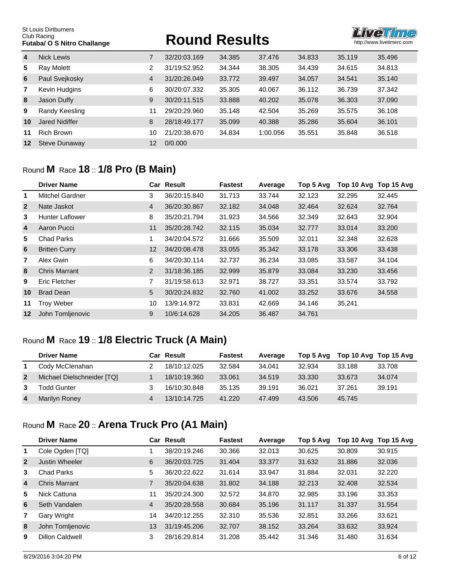# **FUTABALLANGE ROUND RESULTS**



| $\overline{4}$ | <b>Nick Lewis</b>     |    | 32/20:03.169 | 34.385 | 37.476   | 34.833 | 35.119 | 35.496 |
|----------------|-----------------------|----|--------------|--------|----------|--------|--------|--------|
| 5              | Ray Molett            | 2  | 31/19:52.952 | 34.344 | 38.305   | 34.439 | 34.615 | 34.813 |
| 6              | Paul Svejkosky        | 4  | 31/20:26.049 | 33.772 | 39.497   | 34.057 | 34.541 | 35.140 |
| 7              | Kevin Hudgins         | 6  | 30/20:07.332 | 35.305 | 40.067   | 36.112 | 36.739 | 37.342 |
| 8              | Jason Duffy           | 9  | 30/20:11.515 | 33.888 | 40.202   | 35,078 | 36.303 | 37,090 |
| 9              | Randy Keesling        | 11 | 29/20:29.960 | 35.148 | 42.504   | 35.269 | 35.575 | 36.108 |
| 10             | <b>Jared Nidiffer</b> | 8  | 28/18:49.177 | 35.099 | 40.388   | 35.286 | 35.604 | 36.101 |
| 11             | <b>Rich Brown</b>     | 10 | 21/20:38.670 | 34.834 | 1:00.056 | 35.551 | 35.848 | 36.518 |
| 12             | Steve Dunaway         | 12 | 0/0.000      |        |          |        |        |        |

#### Round **M** Race **18** :: **1/8 Pro (B Main)**

|                | <b>Driver Name</b>     |                   | <b>Car Result</b> | <b>Fastest</b> | Average | Top 5 Avg | Top 10 Avg | Top 15 Avg |
|----------------|------------------------|-------------------|-------------------|----------------|---------|-----------|------------|------------|
| 1              | <b>Mitchel Gardner</b> | 3                 | 36/20:15.840      | 31.713         | 33.744  | 32.123    | 32.295     | 32.445     |
| $\overline{2}$ | Nate Jaskot            | 4                 | 36/20:30.867      | 32.182         | 34.048  | 32.464    | 32.624     | 32.764     |
| 3              | <b>Hunter Laflower</b> | 8                 | 35/20:21.794      | 31.923         | 34.566  | 32.349    | 32.643     | 32.904     |
| 4              | Aaron Pucci            | 11                | 35/20:28.742      | 32.115         | 35.034  | 32,777    | 33.014     | 33,200     |
| 5              | <b>Chad Parks</b>      |                   | 34/20:04.572      | 31.666         | 35.509  | 32.011    | 32.348     | 32.628     |
| 6              | <b>Britten Curry</b>   | $12 \overline{ }$ | 34/20:08.478      | 33.055         | 35.342  | 33.178    | 33.306     | 33.438     |
| 7              | Alex Gwin              | 6                 | 34/20:30.114      | 32.737         | 36.234  | 33.085    | 33.587     | 34.104     |
| 8              | <b>Chris Marrant</b>   | $\overline{2}$    | 31/18:36.185      | 32.999         | 35,879  | 33,084    | 33.230     | 33.456     |
| 9              | Eric Fletcher          | 7                 | 31/19:58.613      | 32.971         | 38.727  | 33.351    | 33.574     | 33.792     |
| 10             | <b>Brad Dean</b>       | 5                 | 30/20:24.832      | 32.760         | 41.002  | 33.252    | 33.676     | 34.558     |
| 11             | <b>Troy Weber</b>      | 10                | 13/9:14.972       | 33.831         | 42.669  | 34.146    | 35.241     |            |
| 12             | John Tomljenovic       | 9                 | 10/6:14.628       | 34.205         | 36.487  | 34.761    |            |            |

#### Round **M** Race **19** :: **1/8 Electric Truck (A Main)**

|                | <b>Driver Name</b>         | Car Result   | <b>Fastest</b> | Average | Top 5 Avg | Top 10 Avg Top 15 Avg |        |
|----------------|----------------------------|--------------|----------------|---------|-----------|-----------------------|--------|
|                | Cody McClenahan            | 18/10:12.025 | 32.584         | 34.041  | 32.934    | 33.188                | 33.708 |
| $\overline{2}$ | Michael Dielschneider [TQ] | 18/10:19.360 | 33.061         | 34.519  | 33.330    | 33.673                | 34.074 |
| 3              | Todd Gunter                | 16/10:30.848 | 35.135         | 39.191  | 36.021    | 37.261                | 39.191 |
| $\overline{4}$ | Marilyn Roney              | 13/10:14.725 | 41.220         | 47.499  | 43.506    | 45.745                |        |

# Round **M** Race **20** :: **Arena Truck Pro (A1 Main)**

|                | <b>Driver Name</b>    |    | Car Result   | <b>Fastest</b> | Average | Top 5 Avg | Top 10 Avg | Top 15 Avg |
|----------------|-----------------------|----|--------------|----------------|---------|-----------|------------|------------|
| $\mathbf 1$    | Cole Ogden [TQ]       |    | 38/20:19.246 | 30.366         | 32.013  | 30.625    | 30.809     | 30.915     |
| $\overline{2}$ | <b>Justin Wheeler</b> | 6  | 36/20:03.725 | 31.404         | 33.377  | 31.632    | 31.886     | 32,036     |
| 3              | Chad Parks            | 5  | 36/20:22.622 | 31.614         | 33.947  | 31.884    | 32.031     | 32.220     |
| $\overline{4}$ | Chris Marrant         | 7  | 35/20:04.638 | 31.802         | 34.188  | 32.213    | 32.408     | 32.534     |
| 5              | Nick Cattuna          | 11 | 35/20:24.300 | 32.572         | 34.870  | 32.985    | 33.196     | 33.353     |
| 6              | Seth Vandalen         | 4  | 35/20:28.558 | 30.684         | 35.196  | 31.117    | 31.337     | 31.554     |
| 7              | Gary Wright           | 14 | 34/20:12.255 | 32.310         | 35.536  | 32.851    | 33.266     | 33.621     |
| 8              | John Tomljenovic      | 13 | 31/19:45.206 | 32.707         | 38.152  | 33.264    | 33.632     | 33.924     |
| 9              | Dillon Caldwell       | 3  | 28/16:29.814 | 31.208         | 35.442  | 31.346    | 31.480     | 31.634     |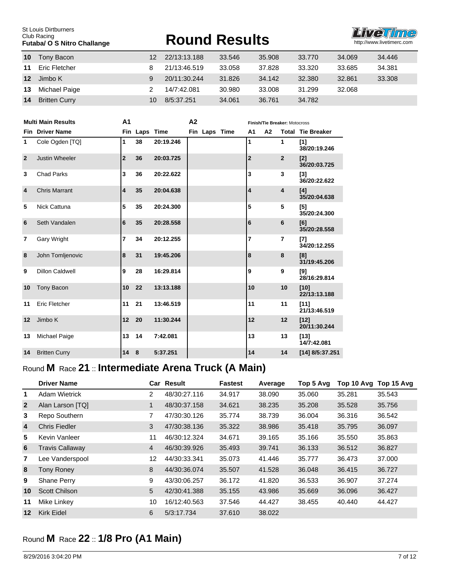St Louis Dirtburners Club Racing<br>Club Racing<br>**Futaba/ O S Nitro Challange** 

# **FUTABALLANGE ROUND RESULTS**



| 10              | Tony Bacon           | 12 | 22/13:13.188 | 33.546 | 35,908 | 33,770 | 34.069 | 34.446 |
|-----------------|----------------------|----|--------------|--------|--------|--------|--------|--------|
| 11              | Eric Fletcher        |    | 21/13:46.519 | 33.058 | 37.828 | 33,320 | 33.685 | 34.381 |
| 12 <sup>1</sup> | Jimbo K              | 9  | 20/11:30.244 | 31.826 | 34.142 | 32,380 | 32.861 | 33,308 |
| 13              | Michael Paige        |    | 14/7:42.081  | 30.980 | 33.008 | 31.299 | 32.068 |        |
| 14              | <b>Britten Curry</b> | 10 | 8/5:37.251   | 34.061 | 36.761 | 34.782 |        |        |

|                | <b>Multi Main Results</b> | A <sub>1</sub><br>A <sub>2</sub> |               |           |  |               | Finish/Tie Breaker: Motocross |                |    |                |                            |
|----------------|---------------------------|----------------------------------|---------------|-----------|--|---------------|-------------------------------|----------------|----|----------------|----------------------------|
|                | <b>Fin</b> Driver Name    |                                  | Fin Laps Time |           |  | Fin Laps Time |                               | A <sub>1</sub> | А2 |                | <b>Total Tie Breaker</b>   |
| 1              | Cole Ogden [TQ]           | 1                                | 38            | 20:19.246 |  |               |                               | 1              |    | 1              | [1]<br>38/20:19.246        |
| $\overline{2}$ | <b>Justin Wheeler</b>     | $\overline{2}$                   | 36            | 20:03.725 |  |               |                               | $\overline{2}$ |    | $\overline{2}$ | [2]<br>36/20:03.725        |
| 3              | <b>Chad Parks</b>         | 3                                | 36            | 20:22.622 |  |               |                               | 3              |    | 3              | $\sqrt{3}$<br>36/20:22.622 |
| $\overline{4}$ | <b>Chris Marrant</b>      | 4                                | 35            | 20:04.638 |  |               |                               | 4              |    | 4              | [4]<br>35/20:04.638        |
| 5              | Nick Cattuna              | 5                                | 35            | 20:24.300 |  |               |                               | 5              |    | 5              | [5]<br>35/20:24.300        |
| 6              | Seth Vandalen             | 6                                | 35            | 20:28.558 |  |               |                               | 6              |    | 6              | [6]<br>35/20:28.558        |
| $\overline{7}$ | <b>Gary Wright</b>        | $\overline{7}$                   | 34            | 20:12.255 |  |               |                               | $\overline{7}$ |    | $\overline{7}$ | $[7]$<br>34/20:12.255      |
| 8              | John Tomljenovic          | 8                                | 31            | 19:45.206 |  |               |                               | 8              |    | 8              | [8]<br>31/19:45.206        |
| 9              | <b>Dillon Caldwell</b>    | 9                                | 28            | 16:29.814 |  |               |                               | 9              |    | 9              | [9]<br>28/16:29.814        |
| 10             | <b>Tony Bacon</b>         | 10                               | 22            | 13:13.188 |  |               |                               | 10             |    | 10             | [10]<br>22/13:13.188       |
| 11             | Eric Fletcher             | 11                               | 21            | 13:46.519 |  |               |                               | 11             |    | 11             | $[11]$<br>21/13:46.519     |
| 12             | Jimbo K                   | 12                               | 20            | 11:30.244 |  |               |                               | 12             |    | 12             | $[12]$<br>20/11:30.244     |
| 13             | Michael Paige             | 13                               | 14            | 7:42.081  |  |               |                               | 13             |    | 13             | $[13]$<br>14/7:42.081      |
| 14             | <b>Britten Curry</b>      | 14                               | 8             | 5:37.251  |  |               |                               | 14             |    | 14             | $[14]$ 8/5:37.251          |

# Round **M** Race **21** :: **Intermediate Arena Truck (A Main)**

|                | <b>Driver Name</b>     |                | Car Result   | <b>Fastest</b> | Average | Top 5 Avg | Top 10 Avg | Top 15 Avg |
|----------------|------------------------|----------------|--------------|----------------|---------|-----------|------------|------------|
| 1              | <b>Adam Wietrick</b>   | 2              | 48/30:27.116 | 34.917         | 38.090  | 35.060    | 35.281     | 35.543     |
| $\overline{2}$ | Alan Larson [TQ]       | 1              | 48/30:37.158 | 34.621         | 38.235  | 35.208    | 35.528     | 35.756     |
| 3              | Repo Southern          | 7              | 47/30:30.126 | 35.774         | 38.739  | 36.004    | 36.316     | 36.542     |
| $\overline{4}$ | Chris Fiedler          | 3              | 47/30:38.136 | 35,322         | 38.986  | 35.418    | 35.795     | 36.097     |
| 5              | Kevin Vanleer          | 11             | 46/30:12.324 | 34.671         | 39.165  | 35.166    | 35.550     | 35.863     |
| 6              | <b>Travis Callaway</b> | $\overline{4}$ | 46/30:39.926 | 35.493         | 39.741  | 36.133    | 36.512     | 36.827     |
| $\overline{7}$ | Lee Vanderspool        | 12             | 44/30:33.341 | 35.073         | 41.446  | 35.777    | 36.473     | 37,000     |
| 8              | <b>Tony Roney</b>      | 8              | 44/30:36.074 | 35.507         | 41.528  | 36.048    | 36.415     | 36.727     |
| 9              | Shane Perry            | 9              | 43/30:06.257 | 36.172         | 41.820  | 36.533    | 36.907     | 37.274     |
| 10             | <b>Scott Chilson</b>   | 5              | 42/30:41.388 | 35.155         | 43.986  | 35.669    | 36.096     | 36.427     |
| 11             | Mike Linkey            | 10             | 16/12:40.563 | 37.546         | 44.427  | 38.455    | 40.440     | 44.427     |
| 12             | <b>Kirk Eidel</b>      | 6              | 5/3:17.734   | 37.610         | 38.022  |           |            |            |

# Round **M** Race **22** :: **1/8 Pro (A1 Main)**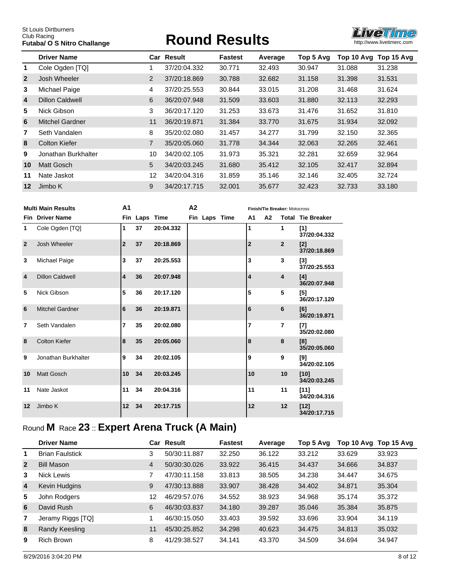# **Futbol Results Round Results**



|                | <b>Driver Name</b>     |                | <b>Car Result</b> | <b>Fastest</b> | Average | Top 5 Avg | Top 10 Avg | Top 15 Avg |
|----------------|------------------------|----------------|-------------------|----------------|---------|-----------|------------|------------|
| 1.             | Cole Ogden [TQ]        |                | 37/20:04.332      | 30.771         | 32.493  | 30.947    | 31.088     | 31.238     |
| $\overline{2}$ | Josh Wheeler           | $\overline{2}$ | 37/20:18.869      | 30.788         | 32.682  | 31.158    | 31.398     | 31.531     |
| 3              | Michael Paige          | 4              | 37/20:25.553      | 30.844         | 33.015  | 31.208    | 31.468     | 31.624     |
| $\overline{4}$ | Dillon Caldwell        | 6              | 36/20:07.948      | 31.509         | 33.603  | 31,880    | 32.113     | 32.293     |
| 5              | Nick Gibson            | 3              | 36/20:17.120      | 31.253         | 33.673  | 31.476    | 31.652     | 31.810     |
| 6              | <b>Mitchel Gardner</b> | 11             | 36/20:19.871      | 31.384         | 33,770  | 31.675    | 31.934     | 32.092     |
| 7              | Seth Vandalen          | 8              | 35/20:02.080      | 31.457         | 34.277  | 31.799    | 32.150     | 32.365     |
| 8              | Colton Kiefer          | 7              | 35/20:05.060      | 31.778         | 34.344  | 32.063    | 32.265     | 32.461     |
| 9              | Jonathan Burkhalter    | 10             | 34/20:02.105      | 31.973         | 35.321  | 32.281    | 32.659     | 32.964     |
| 10             | <b>Matt Gosch</b>      | 5              | 34/20:03.245      | 31.680         | 35.412  | 32.105    | 32.417     | 32.894     |
| 11             | Nate Jaskot            | 12             | 34/20:04.316      | 31.859         | 35.146  | 32.146    | 32.405     | 32.724     |
| $12 \,$        | Jimbo K                | 9              | 34/20:17.715      | 32,001         | 35.677  | 32.423    | 32.733     | 33.180     |

|                | <b>Multi Main Results</b> | A <sub>1</sub><br>A <sub>2</sub> |               |           |  |               | Finish/Tie Breaker: Motocross |                |    |                         |                          |
|----------------|---------------------------|----------------------------------|---------------|-----------|--|---------------|-------------------------------|----------------|----|-------------------------|--------------------------|
|                | <b>Fin</b> Driver Name    |                                  | Fin Laps Time |           |  | Fin Laps Time |                               | A1             | A2 |                         | <b>Total Tie Breaker</b> |
| 1              | Cole Ogden [TQ]           | 1                                | 37            | 20:04.332 |  |               |                               | 1              |    | 1                       | $[1]$<br>37/20:04.332    |
| $\overline{2}$ | Josh Wheeler              | $\overline{2}$                   | 37            | 20:18.869 |  |               |                               | $\overline{2}$ |    | $\overline{2}$          | $[2]$<br>37/20:18.869    |
| 3              | Michael Paige             | 3                                | 37            | 20:25.553 |  |               |                               | 3              |    | 3                       | [3]<br>37/20:25.553      |
| $\overline{4}$ | <b>Dillon Caldwell</b>    | 4                                | 36            | 20:07.948 |  |               |                               | 4              |    | $\overline{\mathbf{4}}$ | [4]<br>36/20:07.948      |
| 5              | Nick Gibson               | 5                                | 36            | 20:17.120 |  |               |                               | 5              |    | 5                       | [5]<br>36/20:17.120      |
| 6              | <b>Mitchel Gardner</b>    | 6                                | 36            | 20:19.871 |  |               |                               | 6              |    | 6                       | [6]<br>36/20:19.871      |
| 7              | Seth Vandalen             | 7                                | 35            | 20:02.080 |  |               |                               | 7              |    | 7                       | [7]<br>35/20:02.080      |
| 8              | Colton Kiefer             | 8                                | 35            | 20:05.060 |  |               |                               | 8              |    | 8                       | [8]<br>35/20:05.060      |
| 9              | Jonathan Burkhalter       | 9                                | 34            | 20:02.105 |  |               |                               | 9              |    | 9                       | [9]<br>34/20:02.105      |
| 10             | <b>Matt Gosch</b>         | 10                               | 34            | 20:03.245 |  |               |                               | 10             |    | 10                      | $[10]$<br>34/20:03.245   |
| 11             | Nate Jaskot               | 11                               | 34            | 20:04.316 |  |               |                               | 11             |    | 11                      | [11]<br>34/20:04.316     |
| 12             | Jimbo K                   | 12                               | 34            | 20:17.715 |  |               |                               | 12             |    | 12                      | $[12]$<br>34/20:17.715   |

# Round **M** Race **23** :: **Expert Arena Truck (A Main)**

|                | <b>Driver Name</b>     |                | Car Result   | <b>Fastest</b> | Average | Top 5 Avg | Top 10 Avg | Top 15 Avg |
|----------------|------------------------|----------------|--------------|----------------|---------|-----------|------------|------------|
| 1              | <b>Brian Faulstick</b> | 3              | 50/30:11.887 | 32.250         | 36.122  | 33.212    | 33.629     | 33.923     |
| $\overline{2}$ | <b>Bill Mason</b>      | $\overline{4}$ | 50/30:30.026 | 33.922         | 36.415  | 34.437    | 34.666     | 34.837     |
| 3              | Nick Lewis             | 7              | 47/30:11.158 | 33.813         | 38.505  | 34.238    | 34.447     | 34.675     |
| $\overline{4}$ | Kevin Hudgins          | 9              | 47/30:13.888 | 33.907         | 38.428  | 34.402    | 34.871     | 35,304     |
| 5              | John Rodgers           | 12             | 46/29:57.076 | 34.552         | 38.923  | 34.968    | 35.174     | 35.372     |
| 6              | David Rush             | 6              | 46/30:03.837 | 34.180         | 39.287  | 35.046    | 35.384     | 35,875     |
| $\overline{7}$ | Jeramy Riggs [TQ]      | 1              | 46/30:15.050 | 33.403         | 39.592  | 33.696    | 33.904     | 34.119     |
| 8              | Randy Keesling         | 11             | 45/30:25.852 | 34.298         | 40.623  | 34.475    | 34.813     | 35.032     |
| 9              | <b>Rich Brown</b>      | 8              | 41/29:38.527 | 34.141         | 43.370  | 34.509    | 34.694     | 34.947     |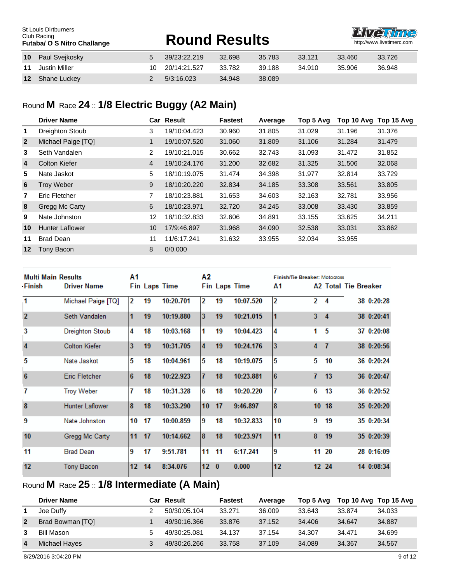#### Paul Svejkosky 5 39/23:22.219 32.698 35.783 33.121 33.460 33.726 Justin Miller 10 20/14:21.527 33.782 39.188 34.910 35.906 36.948 Shane Luckey 2 5/3:16.023 34.948 38.089 St Louis Dirtburners Club Racing<br>Futaba/ O S Nitro Challange **FUTABALLANGE ROUND RESULTS**

### Round **M** Race **24** :: **1/8 Electric Buggy (A2 Main)**

|                | <b>Driver Name</b>     |              | <b>Car Result</b> | <b>Fastest</b> | Average | Top 5 Avg | Top 10 Avg | Top 15 Avg |
|----------------|------------------------|--------------|-------------------|----------------|---------|-----------|------------|------------|
| 1.             | <b>Dreighton Stoub</b> | 3            | 19/10:04.423      | 30.960         | 31.805  | 31.029    | 31.196     | 31.376     |
| $\overline{2}$ | Michael Paige [TQ]     | $\mathbf{1}$ | 19/10:07.520      | 31.060         | 31.809  | 31.106    | 31.284     | 31.479     |
| 3              | Seth Vandalen          | 2            | 19/10:21.015      | 30.662         | 32.743  | 31.093    | 31.472     | 31.852     |
| $\overline{4}$ | <b>Colton Kiefer</b>   | 4            | 19/10:24.176      | 31,200         | 32.682  | 31.325    | 31.506     | 32.068     |
| 5              | Nate Jaskot            | 5            | 18/10:19.075      | 31.474         | 34.398  | 31.977    | 32.814     | 33.729     |
| 6              | <b>Troy Weber</b>      | 9            | 18/10:20.220      | 32.834         | 34.185  | 33.308    | 33.561     | 33.805     |
| 7              | Eric Fletcher          | 7            | 18/10:23.881      | 31.653         | 34.603  | 32.163    | 32.781     | 33.956     |
| 8              | Gregg Mc Carty         | 6            | 18/10:23.971      | 32,720         | 34.245  | 33,008    | 33.430     | 33.859     |
| 9              | Nate Johnston          | 12           | 18/10:32.833      | 32.606         | 34.891  | 33.155    | 33.625     | 34.211     |
| 10             | <b>Hunter Laflower</b> | 10           | 17/9:46.897       | 31.968         | 34.090  | 32.538    | 33.031     | 33.862     |
| 11             | <b>Brad Dean</b>       | 11           | 11/6:17.241       | 31.632         | 33.955  | 32.034    | 33.955     |            |
| $12 \,$        | Tony Bacon             | 8            | 0/0.000           |                |         |           |            |            |

|                  | <b>Multi Main Results</b> |    |    | Α1                   |                         |          | Α2                   |                | <b>Finish/Tie Breaker: Motocross</b> |                      |  |            |
|------------------|---------------------------|----|----|----------------------|-------------------------|----------|----------------------|----------------|--------------------------------------|----------------------|--|------------|
| <b>Finish</b>    | <b>Driver Name</b>        |    |    | <b>Fin Laps Time</b> |                         |          | <b>Fin Laps Time</b> | Α1             |                                      | A2 Total Tie Breaker |  |            |
| 1                | Michael Paige [TQ]        | 2  | 19 | 10:20.701            | 12                      | 19       | 10:07.520            | $\overline{2}$ | $\overline{2}$                       | 4                    |  | 38 0:20:28 |
| $\overline{2}$   | Seth Vandalen             |    | 19 | 10:19.880            | $\overline{\mathbf{3}}$ | 19       | 10:21.015            |                | 3                                    | $\overline{4}$       |  | 38 0:20:41 |
| 3                | <b>Dreighton Stoub</b>    | 4  | 18 | 10:03.168            | 1                       | 19       | 10:04.423            | 4              | 1                                    | 5                    |  | 37 0:20:08 |
| $\overline{4}$   | <b>Colton Kiefer</b>      | 3  | 19 | 10:31.705            | $\overline{4}$          | 19       | 10:24.176            | 3              | 4                                    | $\overline{1}$       |  | 38 0:20:56 |
| 5                | Nate Jaskot               | 5  | 18 | 10:04.961            | 5                       | 18       | 10:19.075            | 5              | 5                                    | 10                   |  | 36 0:20:24 |
| $6\phantom{1}6$  | <b>Eric Fletcher</b>      | 6  | 18 | 10:22.923            | $\overline{7}$          | 18       | 10:23.881            | 6              | 7                                    | 13                   |  | 36 0:20:47 |
| 7                | <b>Troy Weber</b>         | 7  | 18 | 10:31.328            | 6                       | 18       | 10:20.220            | 7              | 6                                    | 13                   |  | 36 0:20:52 |
| $\boldsymbol{8}$ | <b>Hunter Laflower</b>    | 8  | 18 | 10:33.290            | 10                      | 17       | 9:46.897             | 8              |                                      | 1018                 |  | 35 0:20:20 |
| 9                | Nate Johnston             | 10 | 17 | 10:00.859            | 9                       | 18       | 10:32.833            | 10             | 9                                    | 19                   |  | 35 0:20:34 |
| 10               | Gregg Mc Carty            | 11 | 17 | 10:14.662            | 8                       | 18       | 10:23.971            | 11             | 8                                    | 19                   |  | 35 0:20:39 |
| 11               | <b>Brad Dean</b>          | 9  | 17 | 9:51.781             | 11                      | 11       | 6:17.241             | 9              | 11                                   | -20                  |  | 28 0:16:09 |
| 12               | <b>Tony Bacon</b>         | 12 | 14 | 8:34.076             | 12                      | $\bf{0}$ | 0.000                | 12             |                                      | 12 24                |  | 14 0:08:34 |

# Round **M** Race **25** :: **1/8 Intermediate (A Main)**

|                | <b>Driver Name</b> | Car Result   | <b>Fastest</b> | Average | Top 5 Avg | Top 10 Avg Top 15 Avg |        |
|----------------|--------------------|--------------|----------------|---------|-----------|-----------------------|--------|
|                | Joe Duffy          | 50/30:05.104 | 33.271         | 36,009  | 33.643    | 33.874                | 34.033 |
| $\overline{2}$ | Brad Bowman [TQ]   | 49/30:16.366 | 33.876         | 37.152  | 34.406    | 34.647                | 34.887 |
| 3              | Bill Mason         | 49/30:25.081 | 34.137         | 37.154  | 34.307    | 34.471                | 34.699 |
| 4              | Michael Hayes      | 49/30:26.266 | 33.758         | 37.109  | 34.089    | 34.367                | 34.567 |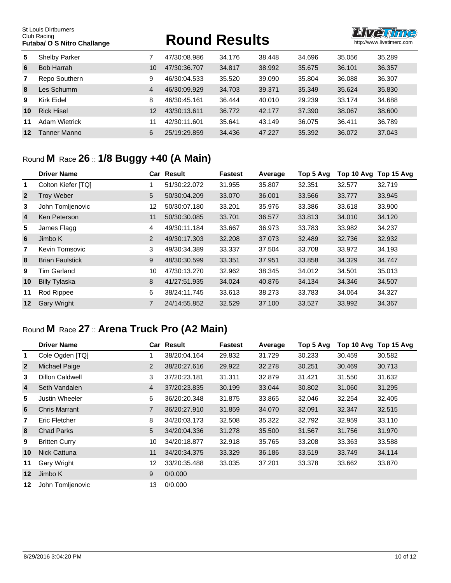St Louis Dirtburners Club Racing<br>Club Racing<br>**Futaba/ O S Nitro Challange** 

# **FUTABALLANGE ROUND RESULTS**



| 5. | <b>Shelby Parker</b> | 7              | 47/30:08.986 | 34.176 | 38.448 | 34.696 | 35.056 | 35.289 |
|----|----------------------|----------------|--------------|--------|--------|--------|--------|--------|
| 6  | Bob Harrah           | 10             | 47/30:36.707 | 34.817 | 38.992 | 35.675 | 36.101 | 36.357 |
| 7  | Repo Southern        | 9              | 46/30:04.533 | 35.520 | 39.090 | 35.804 | 36.088 | 36.307 |
| 8  | Les Schumm           | $\overline{4}$ | 46/30:09.929 | 34.703 | 39.371 | 35.349 | 35.624 | 35,830 |
| 9  | Kirk Eidel           | 8              | 46/30:45.161 | 36.444 | 40.010 | 29.239 | 33.174 | 34.688 |
| 10 | <b>Rick Hisel</b>    | 12             | 43/30:13.611 | 36.772 | 42.177 | 37.390 | 38,067 | 38,600 |
| 11 | Adam Wietrick        | 11             | 42/30:11.601 | 35.641 | 43.149 | 36.075 | 36.411 | 36.789 |
| 12 | Tanner Manno         | 6              | 25/19:29.859 | 34.436 | 47.227 | 35.392 | 36.072 | 37.043 |

#### Round **M** Race **26** :: **1/8 Buggy +40 (A Main)**

|                | <b>Driver Name</b>     |    | <b>Car Result</b> | <b>Fastest</b> | Average | Top 5 Avg | Top 10 Avg | Top 15 Avg |
|----------------|------------------------|----|-------------------|----------------|---------|-----------|------------|------------|
| 1              | Colton Kiefer [TQ]     |    | 51/30:22.072      | 31.955         | 35.807  | 32.351    | 32.577     | 32.719     |
| $\overline{2}$ | <b>Troy Weber</b>      | 5  | 50/30:04.209      | 33,070         | 36.001  | 33.566    | 33.777     | 33.945     |
| 3              | John Tomljenovic       | 12 | 50/30:07.180      | 33.201         | 35.976  | 33.386    | 33.618     | 33.900     |
| 4              | Ken Peterson           | 11 | 50/30:30.085      | 33.701         | 36.577  | 33.813    | 34.010     | 34.120     |
| 5              | James Flagg            | 4  | 49/30:11.184      | 33.667         | 36.973  | 33.783    | 33.982     | 34.237     |
| 6              | Jimbo K                | 2  | 49/30:17.303      | 32.208         | 37.073  | 32.489    | 32.736     | 32.932     |
| $\overline{7}$ | Kevin Tomsovic         | 3  | 49/30:34.389      | 33.337         | 37.504  | 33.708    | 33.972     | 34.193     |
| 8              | <b>Brian Faulstick</b> | 9  | 48/30:30.599      | 33.351         | 37.951  | 33.858    | 34.329     | 34.747     |
| 9              | <b>Tim Garland</b>     | 10 | 47/30:13.270      | 32.962         | 38.345  | 34.012    | 34.501     | 35.013     |
| 10             | <b>Billy Tylaska</b>   | 8  | 41/27:51.935      | 34.024         | 40.876  | 34.134    | 34.346     | 34.507     |
| 11             | Rod Rippee             | 6  | 38/24:11.745      | 33.613         | 38.273  | 33.783    | 34.064     | 34.327     |
| 12             | <b>Gary Wright</b>     | 7  | 24/14:55.852      | 32.529         | 37.100  | 33.527    | 33.992     | 34.367     |

# Round **M** Race **27** :: **Arena Truck Pro (A2 Main)**

|                | <b>Driver Name</b>     |                | <b>Car Result</b> | <b>Fastest</b> | Average | Top 5 Avg | Top 10 Avg Top 15 Avg |        |
|----------------|------------------------|----------------|-------------------|----------------|---------|-----------|-----------------------|--------|
| 1.             | Cole Ogden [TQ]        |                | 38/20:04.164      | 29.832         | 31.729  | 30.233    | 30.459                | 30.582 |
| $\overline{2}$ | Michael Paige          | $\overline{2}$ | 38/20:27.616      | 29.922         | 32.278  | 30.251    | 30.469                | 30.713 |
| 3              | <b>Dillon Caldwell</b> | 3              | 37/20:23.181      | 31.311         | 32.879  | 31.421    | 31.550                | 31.632 |
| $\overline{4}$ | Seth Vandalen          | $\overline{4}$ | 37/20:23.835      | 30.199         | 33.044  | 30.802    | 31.060                | 31.295 |
| 5              | Justin Wheeler         | 6              | 36/20:20.348      | 31.875         | 33.865  | 32.046    | 32.254                | 32,405 |
| 6              | <b>Chris Marrant</b>   | 7              | 36/20:27.910      | 31.859         | 34.070  | 32.091    | 32.347                | 32.515 |
| 7              | Eric Fletcher          | 8              | 34/20:03.173      | 32.508         | 35.322  | 32.792    | 32.959                | 33.110 |
| 8              | <b>Chad Parks</b>      | 5              | 34/20:04.336      | 31.278         | 35,500  | 31.567    | 31.756                | 31,970 |
| 9              | <b>Britten Curry</b>   | 10             | 34/20:18.877      | 32.918         | 35.765  | 33.208    | 33.363                | 33.588 |
| 10             | Nick Cattuna           | 11             | 34/20:34.375      | 33.329         | 36.186  | 33.519    | 33.749                | 34.114 |
| 11             | Gary Wright            | 12             | 33/20:35.488      | 33.035         | 37.201  | 33.378    | 33.662                | 33.870 |
| 12             | Jimbo K                | 9              | 0/0.000           |                |         |           |                       |        |
| 12             | John Tomljenovic       | 13             | 0/0.000           |                |         |           |                       |        |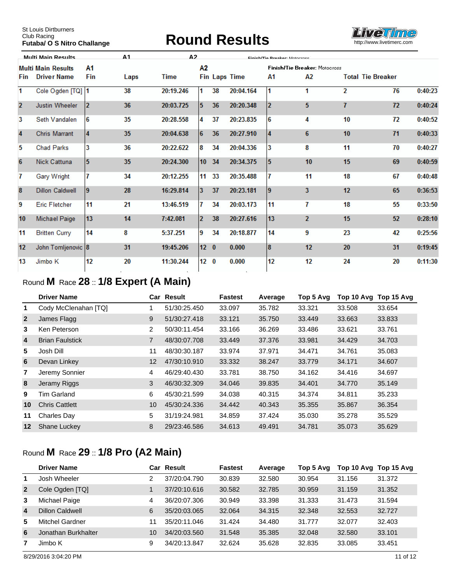# **FUTABALLANGE ROUND RESULTS**



|                | <b>Multi Main Results</b> |                        | $\Delta$ 1 | Δ2        |                 |    | Einich/Tin Proghar. Motocroco |    |                                      |    |                          |         |
|----------------|---------------------------|------------------------|------------|-----------|-----------------|----|-------------------------------|----|--------------------------------------|----|--------------------------|---------|
|                | <b>Multi Main Results</b> | A1                     |            |           | Α2              |    |                               |    | <b>Finish/Tie Breaker: Motocross</b> |    |                          |         |
| Fin            | <b>Driver Name</b>        | Fin                    | Laps       | Time      |                 |    | <b>Fin Laps Time</b>          | Α1 | А2                                   |    | <b>Total Tie Breaker</b> |         |
| 1              | Cole Ogden [TQ] 1         |                        | 38         | 20:19.246 | 1               | 38 | 20:04.164                     | 11 | 1                                    | 2  | 76                       | 0:40:23 |
| $\overline{2}$ | Justin Wheeler            | 2                      | 36         | 20:03.725 | 5               | 36 | 20:20.348                     | 12 | 5                                    | 7  | 72                       | 0:40:24 |
| 3              | Seth Vandalen             | 6                      | 35         | 20:28.558 | 4               | 37 | 20:23.835                     | 16 | 4                                    | 10 | 72                       | 0:40:52 |
| 4              | <b>Chris Marrant</b>      | $\boldsymbol{\Lambda}$ | 35         | 20:04.638 | 6               | 36 | 20:27.910                     | 14 | 6                                    | 10 | 71                       | 0:40:33 |
| 5              | <b>Chad Parks</b>         | 3                      | 36         | 20:22.622 | 8               | 34 | 20:04.336                     | 3  | 8                                    | 11 | 70                       | 0:40:27 |
| 6              | Nick Cattuna              | 5                      | 35         | 20:24.300 | 10              | 34 | 20:34.375                     | 15 | 10                                   | 15 | 69                       | 0:40:59 |
| 7              | Gary Wright               |                        | 34         | 20:12.255 | 11              | 33 | 20:35.488                     |    | 11                                   | 18 | 67                       | 0:40:48 |
| 8              | <b>Dillon Caldwell</b>    | 19                     | 28         | 16:29.814 | $\overline{3}$  | 37 | 20:23.181                     | Ι9 | 3                                    | 12 | 65                       | 0:36:53 |
| 9              | <b>Eric Fletcher</b>      | 11                     | 21         | 13:46.519 | 7               | 34 | 20:03.173                     | 11 | 7                                    | 18 | 55                       | 0:33:50 |
| 10             | <b>Michael Paige</b>      | 13                     | 14         | 7:42.081  | $\overline{2}$  | 38 | 20:27.616                     | 13 | $\overline{2}$                       | 15 | 52                       | 0:28:10 |
| 11             | <b>Britten Curry</b>      | 14                     | 8          | 5:37.251  | 9               | 34 | 20:18.877                     | 14 | 9                                    | 23 | 42                       | 0:25:56 |
| 12             | John Tomljenovic 8        |                        | 31         | 19:45.206 | 12 <sub>0</sub> |    | 0.000                         | 8  | 12                                   | 20 | 31                       | 0:19:45 |
| 13             | Jimbo K                   | 12                     | 20         | 11:30.244 | 12 <sub>0</sub> |    | 0.000                         | 12 | 12                                   | 24 | 20                       | 0:11:30 |

# Round **M** Race **28** :: **1/8 Expert (A Main)**

|                | <b>Driver Name</b>     |                | <b>Car Result</b> | <b>Fastest</b> | Average | Top 5 Avg | Top 10 Avg | Top 15 Avg |
|----------------|------------------------|----------------|-------------------|----------------|---------|-----------|------------|------------|
| $\mathbf{1}$   | Cody McClenahan [TQ]   |                | 51/30:25.450      | 33.097         | 35.782  | 33.321    | 33.508     | 33.654     |
| $\overline{2}$ | James Flagg            | 9              | 51/30:27.418      | 33.121         | 35,750  | 33.449    | 33.663     | 33.833     |
| 3              | Ken Peterson           | $\overline{2}$ | 50/30:11.454      | 33.166         | 36.269  | 33.486    | 33.621     | 33.761     |
| 4              | <b>Brian Faulstick</b> | $\overline{7}$ | 48/30:07.708      | 33.449         | 37,376  | 33.981    | 34.429     | 34.703     |
| 5              | Josh Dill              | 11             | 48/30:30.187      | 33.974         | 37.971  | 34.471    | 34.761     | 35.083     |
| 6              | Devan Linkey           | 12             | 47/30:10.910      | 33.332         | 38.247  | 33.779    | 34.171     | 34.607     |
| $\overline{7}$ | Jeremy Sonnier         | 4              | 46/29:40.430      | 33.781         | 38.750  | 34.162    | 34.416     | 34.697     |
| 8              | Jeramy Riggs           | 3              | 46/30:32.309      | 34.046         | 39.835  | 34.401    | 34.770     | 35.149     |
| 9              | Tim Garland            | 6              | 45/30:21.599      | 34.038         | 40.315  | 34.374    | 34.811     | 35.233     |
| 10             | <b>Chris Cattlett</b>  | 10             | 45/30:24.336      | 34.442         | 40.343  | 35.355    | 35.867     | 36.354     |
| 11             | Charles Day            | 5              | 31/19:24.981      | 34.859         | 37.424  | 35.030    | 35.278     | 35.529     |
| 12             | Shane Luckey           | 8              | 29/23:46.586      | 34.613         | 49.491  | 34.781    | 35.073     | 35.629     |

### Round **M** Race **29** :: **1/8 Pro (A2 Main)**

|                         | <b>Driver Name</b>     | Car | Result       | <b>Fastest</b> | Average | Top 5 Avg | Top 10 Avg | Top 15 Avg |
|-------------------------|------------------------|-----|--------------|----------------|---------|-----------|------------|------------|
| 1                       | Josh Wheeler           | 2   | 37/20:04.790 | 30.839         | 32.580  | 30.954    | 31.156     | 31.372     |
| $\overline{2}$          | Cole Ogden [TQ]        |     | 37/20:10.616 | 30.582         | 32.785  | 30.959    | 31.159     | 31.352     |
| 3                       | Michael Paige          | 4   | 36/20:07.306 | 30.949         | 33.398  | 31.333    | 31.473     | 31.594     |
| $\overline{\mathbf{4}}$ | <b>Dillon Caldwell</b> | 6   | 35/20:03.065 | 32.064         | 34.315  | 32.348    | 32.553     | 32.727     |
| 5                       | Mitchel Gardner        |     | 35/20:11.046 | 31.424         | 34.480  | 31.777    | 32.077     | 32.403     |
| 6                       | Jonathan Burkhalter    | 10  | 34/20:03.560 | 31.548         | 35.385  | 32.048    | 32.580     | 33.101     |
|                         | Jimbo K                | 9   | 34/20:13.847 | 32.624         | 35.628  | 32.835    | 33.085     | 33.451     |

8/29/2016 3:04:20 PM 11 of 12